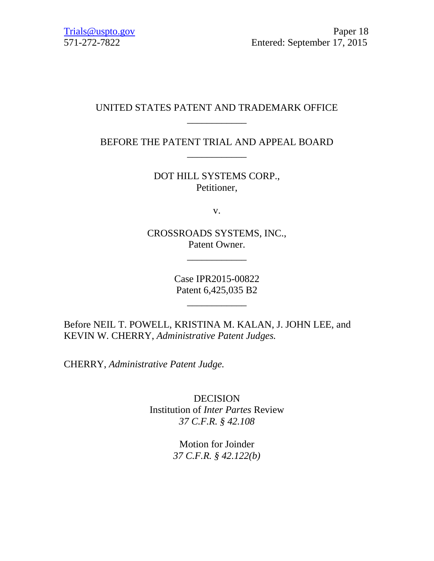## UNITED STATES PATENT AND TRADEMARK OFFICE \_\_\_\_\_\_\_\_\_\_\_\_

BEFORE THE PATENT TRIAL AND APPEAL BOARD \_\_\_\_\_\_\_\_\_\_\_\_

> DOT HILL SYSTEMS CORP., Petitioner,

> > v.

CROSSROADS SYSTEMS, INC., Patent Owner.

\_\_\_\_\_\_\_\_\_\_\_\_

Case IPR2015-00822 Patent 6,425,035 B2

\_\_\_\_\_\_\_\_\_\_\_\_

Before NEIL T. POWELL, KRISTINA M. KALAN, J. JOHN LEE, and KEVIN W. CHERRY, *Administrative Patent Judges.*

CHERRY, *Administrative Patent Judge.*

**DECISION** Institution of *Inter Partes* Review *37 C.F.R. § 42.108*

> Motion for Joinder *37 C.F.R. § 42.122(b)*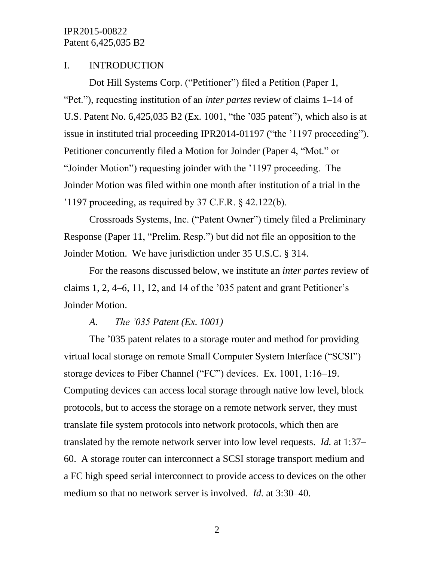## I. INTRODUCTION

Dot Hill Systems Corp. ("Petitioner") filed a Petition (Paper 1, "Pet."), requesting institution of an *inter partes* review of claims 1–14 of U.S. Patent No. 6,425,035 B2 (Ex. 1001, "the '035 patent"), which also is at issue in instituted trial proceeding IPR2014-01197 ("the '1197 proceeding"). Petitioner concurrently filed a Motion for Joinder (Paper 4, "Mot." or "Joinder Motion") requesting joinder with the '1197 proceeding. The Joinder Motion was filed within one month after institution of a trial in the '1197 proceeding, as required by 37 C.F.R.  $\frac{1}{2}$  42.122(b).

Crossroads Systems, Inc. ("Patent Owner") timely filed a Preliminary Response (Paper 11, "Prelim. Resp.") but did not file an opposition to the Joinder Motion. We have jurisdiction under 35 U.S.C. § 314.

For the reasons discussed below, we institute an *inter partes* review of claims 1, 2, 4–6, 11, 12, and 14 of the '035 patent and grant Petitioner's Joinder Motion.

#### *A. The '035 Patent (Ex. 1001)*

The '035 patent relates to a storage router and method for providing virtual local storage on remote Small Computer System Interface ("SCSI") storage devices to Fiber Channel ("FC") devices. Ex. 1001, 1:16–19. Computing devices can access local storage through native low level, block protocols, but to access the storage on a remote network server, they must translate file system protocols into network protocols, which then are translated by the remote network server into low level requests. *Id.* at 1:37– 60. A storage router can interconnect a SCSI storage transport medium and a FC high speed serial interconnect to provide access to devices on the other medium so that no network server is involved. *Id.* at 3:30–40.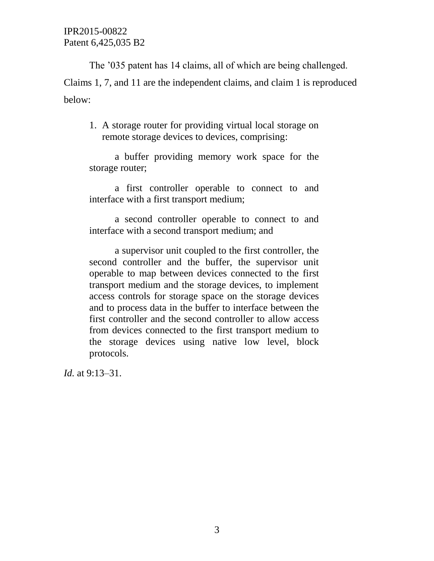The '035 patent has 14 claims, all of which are being challenged. Claims 1, 7, and 11 are the independent claims, and claim 1 is reproduced below:

1. A storage router for providing virtual local storage on remote storage devices to devices, comprising:

a buffer providing memory work space for the storage router;

a first controller operable to connect to and interface with a first transport medium;

a second controller operable to connect to and interface with a second transport medium; and

a supervisor unit coupled to the first controller, the second controller and the buffer, the supervisor unit operable to map between devices connected to the first transport medium and the storage devices, to implement access controls for storage space on the storage devices and to process data in the buffer to interface between the first controller and the second controller to allow access from devices connected to the first transport medium to the storage devices using native low level, block protocols.

*Id.* at 9:13–31.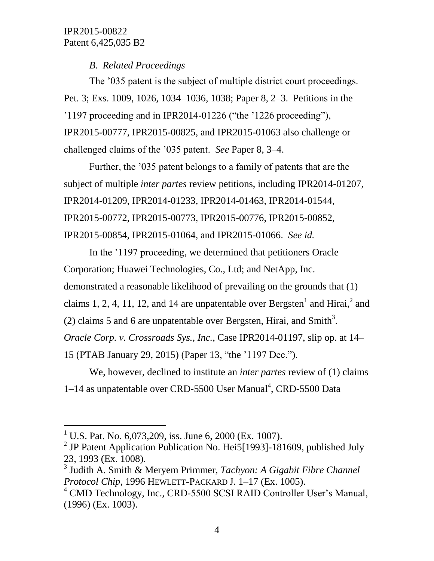# *B. Related Proceedings*

The '035 patent is the subject of multiple district court proceedings. Pet. 3; Exs. 1009, 1026, 1034–1036, 1038; Paper 8, 2–3. Petitions in the '1197 proceeding and in IPR2014-01226 ("the '1226 proceeding"), IPR2015-00777, IPR2015-00825, and IPR2015-01063 also challenge or challenged claims of the '035 patent. *See* Paper 8, 3–4.

Further, the '035 patent belongs to a family of patents that are the subject of multiple *inter partes* review petitions, including IPR2014-01207, IPR2014-01209, IPR2014-01233, IPR2014-01463, IPR2014-01544, IPR2015-00772, IPR2015-00773, IPR2015-00776, IPR2015-00852, IPR2015-00854, IPR2015-01064, and IPR2015-01066. *See id.*

In the '1197 proceeding, we determined that petitioners Oracle Corporation; Huawei Technologies, Co., Ltd; and NetApp, Inc. demonstrated a reasonable likelihood of prevailing on the grounds that (1) claims 1, 2, 4, 11, 12, and 14 are unpatentable over Bergsten<sup>1</sup> and Hirai,<sup>2</sup> and (2) claims 5 and 6 are unpatentable over Bergsten, Hirai, and Smith<sup>3</sup>. *Oracle Corp. v. Crossroads Sys., Inc.*, Case IPR2014-01197, slip op. at 14– 15 (PTAB January 29, 2015) (Paper 13, "the '1197 Dec.").

We, however, declined to institute an *inter partes* review of (1) claims 1-14 as unpatentable over CRD-5500 User Manual<sup>4</sup>, CRD-5500 Data

l

<sup>&</sup>lt;sup>1</sup> U.S. Pat. No. 6,073,209, iss. June 6, 2000 (Ex. 1007).

<sup>&</sup>lt;sup>2</sup> JP Patent Application Publication No. Hei5[1993]-181609, published July 23, 1993 (Ex. 1008).

<sup>3</sup> Judith A. Smith & Meryem Primmer, *Tachyon: A Gigabit Fibre Channel Protocol Chip*, 1996 HEWLETT-PACKARD J. 1–17 (Ex. 1005).

<sup>&</sup>lt;sup>4</sup> CMD Technology, Inc., CRD-5500 SCSI RAID Controller User's Manual, (1996) (Ex. 1003).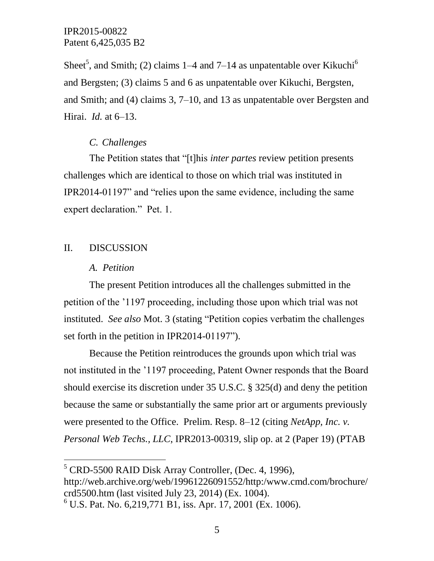Sheet<sup>5</sup>, and Smith; (2) claims 1–4 and 7–14 as unpatentable over Kikuchi<sup>6</sup> and Bergsten; (3) claims 5 and 6 as unpatentable over Kikuchi, Bergsten, and Smith; and (4) claims 3, 7–10, and 13 as unpatentable over Bergsten and Hirai. *Id.* at 6–13.

## *C. Challenges*

The Petition states that "[t]his *inter partes* review petition presents challenges which are identical to those on which trial was instituted in IPR2014-01197" and "relies upon the same evidence, including the same expert declaration." Pet. 1.

# II. DISCUSSION

 $\overline{a}$ 

#### *A. Petition*

The present Petition introduces all the challenges submitted in the petition of the '1197 proceeding, including those upon which trial was not instituted. *See also* Mot. 3 (stating "Petition copies verbatim the challenges set forth in the petition in IPR2014-01197").

Because the Petition reintroduces the grounds upon which trial was not instituted in the '1197 proceeding, Patent Owner responds that the Board should exercise its discretion under 35 U.S.C. § 325(d) and deny the petition because the same or substantially the same prior art or arguments previously were presented to the Office. Prelim. Resp. 8–12 (citing *NetApp, Inc. v. Personal Web Techs., LLC*, IPR2013-00319, slip op. at 2 (Paper 19) (PTAB

 $<sup>5</sup>$  CRD-5500 RAID Disk Array Controller, (Dec. 4, 1996),</sup>

http://web.archive.org/web/19961226091552/http:/www.cmd.com/brochure/ crd5500.htm (last visited July 23, 2014) (Ex. 1004).

 $^{6}$  U.S. Pat. No. 6,219,771 B1, iss. Apr. 17, 2001 (Ex. 1006).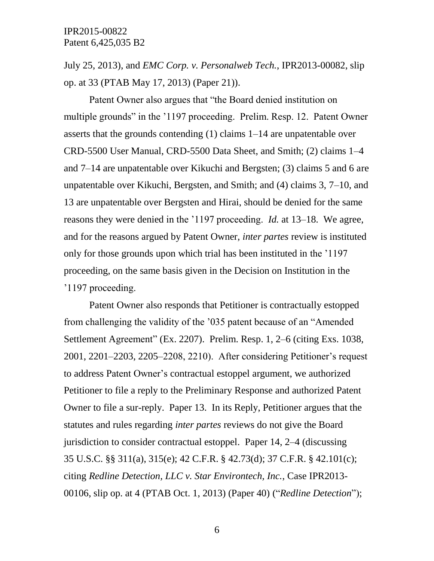July 25, 2013), and *EMC Corp. v. Personalweb Tech.*, IPR2013-00082, slip op. at 33 (PTAB May 17, 2013) (Paper 21)).

Patent Owner also argues that "the Board denied institution on multiple grounds" in the '1197 proceeding. Prelim. Resp. 12. Patent Owner asserts that the grounds contending (1) claims 1–14 are unpatentable over CRD-5500 User Manual, CRD-5500 Data Sheet, and Smith; (2) claims 1–4 and 7–14 are unpatentable over Kikuchi and Bergsten; (3) claims 5 and 6 are unpatentable over Kikuchi, Bergsten, and Smith; and (4) claims 3, 7–10, and 13 are unpatentable over Bergsten and Hirai, should be denied for the same reasons they were denied in the '1197 proceeding. *Id.* at 13–18. We agree, and for the reasons argued by Patent Owner, *inter partes* review is instituted only for those grounds upon which trial has been instituted in the '1197 proceeding, on the same basis given in the Decision on Institution in the '1197 proceeding.

Patent Owner also responds that Petitioner is contractually estopped from challenging the validity of the '035 patent because of an "Amended Settlement Agreement" (Ex. 2207). Prelim. Resp. 1, 2–6 (citing Exs. 1038, 2001, 2201–2203, 2205–2208, 2210). After considering Petitioner's request to address Patent Owner's contractual estoppel argument, we authorized Petitioner to file a reply to the Preliminary Response and authorized Patent Owner to file a sur-reply. Paper 13. In its Reply, Petitioner argues that the statutes and rules regarding *inter partes* reviews do not give the Board jurisdiction to consider contractual estoppel. Paper 14, 2–4 (discussing 35 U.S.C. §§ 311(a), 315(e); 42 C.F.R. § 42.73(d); 37 C.F.R. § 42.101(c); citing *Redline Detection, LLC v. Star Environtech, Inc.*, Case IPR2013- 00106, slip op. at 4 (PTAB Oct. 1, 2013) (Paper 40) ("*Redline Detection*");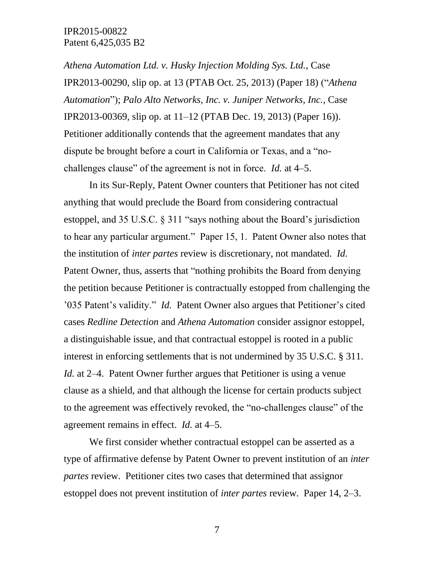*Athena Automation Ltd. v. Husky Injection Molding Sys. Ltd.*, Case IPR2013-00290, slip op. at 13 (PTAB Oct. 25, 2013) (Paper 18) ("*Athena Automation*"); *Palo Alto Networks, Inc. v. Juniper Networks, Inc.*, Case IPR2013-00369, slip op. at 11–12 (PTAB Dec. 19, 2013) (Paper 16)). Petitioner additionally contends that the agreement mandates that any dispute be brought before a court in California or Texas, and a "nochallenges clause" of the agreement is not in force. *Id.* at 4–5.

In its Sur-Reply, Patent Owner counters that Petitioner has not cited anything that would preclude the Board from considering contractual estoppel, and 35 U.S.C. § 311 "says nothing about the Board's jurisdiction to hear any particular argument." Paper 15, 1. Patent Owner also notes that the institution of *inter partes* review is discretionary, not mandated. *Id.* Patent Owner, thus, asserts that "nothing prohibits the Board from denying the petition because Petitioner is contractually estopped from challenging the '035 Patent's validity." *Id.* Patent Owner also argues that Petitioner's cited cases *Redline Detection* and *Athena Automation* consider assignor estoppel, a distinguishable issue, and that contractual estoppel is rooted in a public interest in enforcing settlements that is not undermined by 35 U.S.C. § 311. *Id.* at 2–4. Patent Owner further argues that Petitioner is using a venue clause as a shield, and that although the license for certain products subject to the agreement was effectively revoked, the "no-challenges clause" of the agreement remains in effect. *Id.* at 4–5.

We first consider whether contractual estoppel can be asserted as a type of affirmative defense by Patent Owner to prevent institution of an *inter partes* review. Petitioner cites two cases that determined that assignor estoppel does not prevent institution of *inter partes* review. Paper 14, 2–3.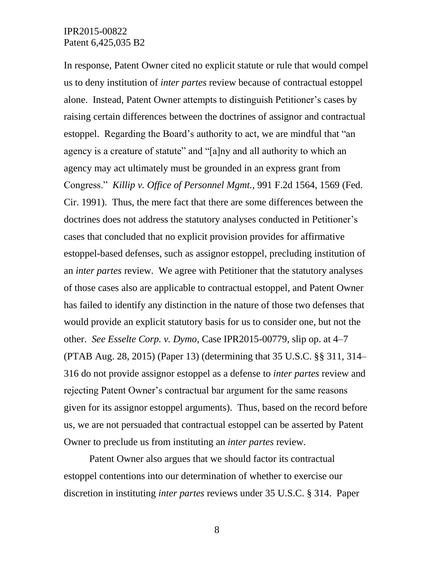In response, Patent Owner cited no explicit statute or rule that would compel us to deny institution of *inter partes* review because of contractual estoppel alone. Instead, Patent Owner attempts to distinguish Petitioner's cases by raising certain differences between the doctrines of assignor and contractual estoppel. Regarding the Board's authority to act, we are mindful that "an agency is a creature of statute" and "[a]ny and all authority to which an agency may act ultimately must be grounded in an express grant from Congress." *Killip v. Office of Personnel Mgmt.*, 991 F.2d 1564, 1569 (Fed. Cir. 1991). Thus, the mere fact that there are some differences between the doctrines does not address the statutory analyses conducted in Petitioner's cases that concluded that no explicit provision provides for affirmative estoppel-based defenses, such as assignor estoppel, precluding institution of an *inter partes* review. We agree with Petitioner that the statutory analyses of those cases also are applicable to contractual estoppel, and Patent Owner has failed to identify any distinction in the nature of those two defenses that would provide an explicit statutory basis for us to consider one, but not the other. *See Esselte Corp. v. Dymo*, Case IPR2015-00779, slip op. at 4–7 (PTAB Aug. 28, 2015) (Paper 13) (determining that 35 U.S.C. §§ 311, 314– 316 do not provide assignor estoppel as a defense to *inter partes* review and rejecting Patent Owner's contractual bar argument for the same reasons given for its assignor estoppel arguments). Thus, based on the record before us, we are not persuaded that contractual estoppel can be asserted by Patent Owner to preclude us from instituting an *inter partes* review.

Patent Owner also argues that we should factor its contractual estoppel contentions into our determination of whether to exercise our discretion in instituting *inter partes* reviews under 35 U.S.C. § 314. Paper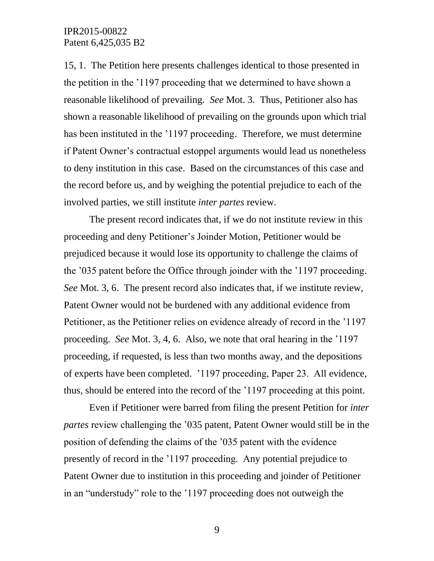15, 1. The Petition here presents challenges identical to those presented in the petition in the '1197 proceeding that we determined to have shown a reasonable likelihood of prevailing. *See* Mot. 3. Thus, Petitioner also has shown a reasonable likelihood of prevailing on the grounds upon which trial has been instituted in the '1197 proceeding. Therefore, we must determine if Patent Owner's contractual estoppel arguments would lead us nonetheless to deny institution in this case. Based on the circumstances of this case and the record before us, and by weighing the potential prejudice to each of the involved parties, we still institute *inter partes* review.

The present record indicates that, if we do not institute review in this proceeding and deny Petitioner's Joinder Motion, Petitioner would be prejudiced because it would lose its opportunity to challenge the claims of the '035 patent before the Office through joinder with the '1197 proceeding. *See* Mot. 3, 6. The present record also indicates that, if we institute review, Patent Owner would not be burdened with any additional evidence from Petitioner, as the Petitioner relies on evidence already of record in the '1197 proceeding. *See* Mot. 3, 4, 6. Also, we note that oral hearing in the '1197 proceeding, if requested, is less than two months away, and the depositions of experts have been completed. '1197 proceeding, Paper 23. All evidence, thus, should be entered into the record of the '1197 proceeding at this point.

Even if Petitioner were barred from filing the present Petition for *inter partes* review challenging the '035 patent, Patent Owner would still be in the position of defending the claims of the '035 patent with the evidence presently of record in the '1197 proceeding. Any potential prejudice to Patent Owner due to institution in this proceeding and joinder of Petitioner in an "understudy" role to the '1197 proceeding does not outweigh the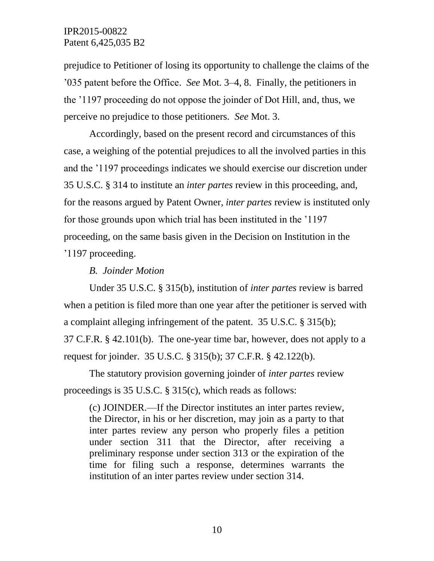prejudice to Petitioner of losing its opportunity to challenge the claims of the '035 patent before the Office. *See* Mot. 3–4, 8. Finally, the petitioners in the '1197 proceeding do not oppose the joinder of Dot Hill, and, thus, we perceive no prejudice to those petitioners. *See* Mot. 3.

Accordingly, based on the present record and circumstances of this case, a weighing of the potential prejudices to all the involved parties in this and the '1197 proceedings indicates we should exercise our discretion under 35 U.S.C. § 314 to institute an *inter partes* review in this proceeding, and, for the reasons argued by Patent Owner, *inter partes* review is instituted only for those grounds upon which trial has been instituted in the '1197 proceeding, on the same basis given in the Decision on Institution in the '1197 proceeding.

*B. Joinder Motion*

Under 35 U.S.C. § 315(b), institution of *inter partes* review is barred when a petition is filed more than one year after the petitioner is served with a complaint alleging infringement of the patent. 35 U.S.C. § 315(b); 37 C.F.R. § 42.101(b). The one-year time bar, however, does not apply to a

request for joinder. 35 U.S.C. § 315(b); 37 C.F.R. § 42.122(b).

The statutory provision governing joinder of *inter partes* review proceedings is 35 U.S.C. § 315(c), which reads as follows:

(c) JOINDER.—If the Director institutes an inter partes review, the Director, in his or her discretion, may join as a party to that inter partes review any person who properly files a petition under section 311 that the Director, after receiving a preliminary response under section 313 or the expiration of the time for filing such a response, determines warrants the institution of an inter partes review under section 314.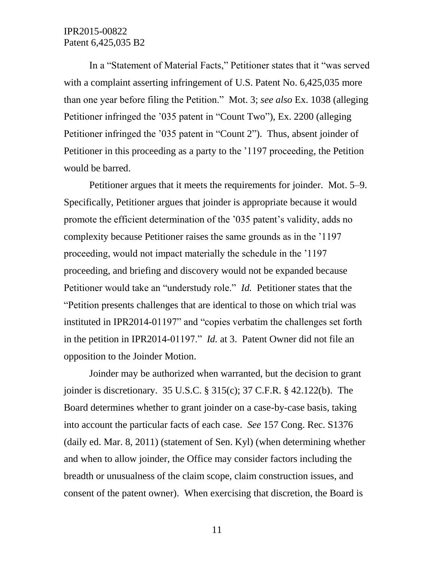In a "Statement of Material Facts," Petitioner states that it "was served with a complaint asserting infringement of U.S. Patent No. 6,425,035 more than one year before filing the Petition." Mot. 3; *see also* Ex. 1038 (alleging Petitioner infringed the '035 patent in "Count Two"), Ex. 2200 (alleging Petitioner infringed the '035 patent in "Count 2"). Thus, absent joinder of Petitioner in this proceeding as a party to the '1197 proceeding, the Petition would be barred.

Petitioner argues that it meets the requirements for joinder. Mot. 5–9. Specifically, Petitioner argues that joinder is appropriate because it would promote the efficient determination of the '035 patent's validity, adds no complexity because Petitioner raises the same grounds as in the '1197 proceeding, would not impact materially the schedule in the '1197 proceeding, and briefing and discovery would not be expanded because Petitioner would take an "understudy role." *Id.* Petitioner states that the "Petition presents challenges that are identical to those on which trial was instituted in IPR2014-01197" and "copies verbatim the challenges set forth in the petition in IPR2014-01197." *Id.* at 3. Patent Owner did not file an opposition to the Joinder Motion.

Joinder may be authorized when warranted, but the decision to grant joinder is discretionary. 35 U.S.C. § 315(c); 37 C.F.R. § 42.122(b). The Board determines whether to grant joinder on a case-by-case basis, taking into account the particular facts of each case. *See* 157 Cong. Rec. S1376 (daily ed. Mar. 8, 2011) (statement of Sen. Kyl) (when determining whether and when to allow joinder, the Office may consider factors including the breadth or unusualness of the claim scope, claim construction issues, and consent of the patent owner). When exercising that discretion, the Board is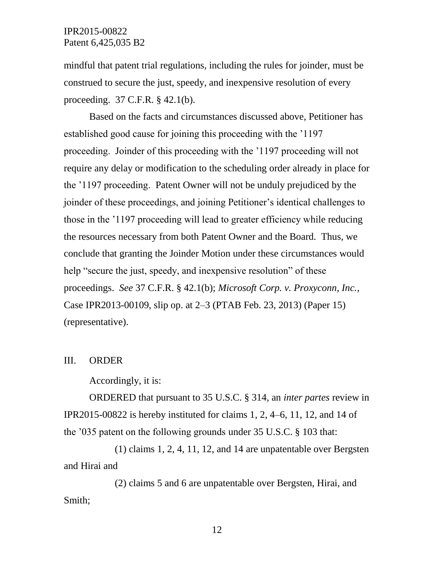mindful that patent trial regulations, including the rules for joinder, must be construed to secure the just, speedy, and inexpensive resolution of every proceeding. 37 C.F.R. § 42.1(b).

Based on the facts and circumstances discussed above, Petitioner has established good cause for joining this proceeding with the '1197 proceeding. Joinder of this proceeding with the '1197 proceeding will not require any delay or modification to the scheduling order already in place for the '1197 proceeding. Patent Owner will not be unduly prejudiced by the joinder of these proceedings, and joining Petitioner's identical challenges to those in the '1197 proceeding will lead to greater efficiency while reducing the resources necessary from both Patent Owner and the Board. Thus, we conclude that granting the Joinder Motion under these circumstances would help "secure the just, speedy, and inexpensive resolution" of these proceedings. *See* 37 C.F.R. § 42.1(b); *Microsoft Corp. v. Proxyconn, Inc.*, Case IPR2013-00109, slip op. at 2–3 (PTAB Feb. 23, 2013) (Paper 15) (representative).

#### III. ORDER

Accordingly, it is:

ORDERED that pursuant to 35 U.S.C. § 314, an *inter partes* review in IPR2015-00822 is hereby instituted for claims 1, 2, 4–6, 11, 12, and 14 of the '035 patent on the following grounds under 35 U.S.C. § 103 that:

(1) claims 1, 2, 4, 11, 12, and 14 are unpatentable over Bergsten and Hirai and

(2) claims 5 and 6 are unpatentable over Bergsten, Hirai, and Smith;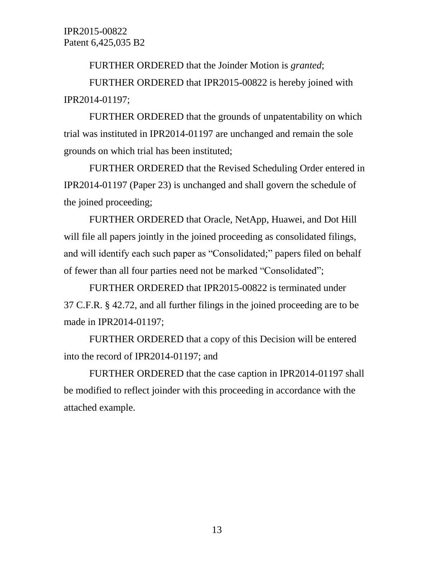FURTHER ORDERED that the Joinder Motion is *granted*;

FURTHER ORDERED that IPR2015-00822 is hereby joined with IPR2014-01197;

FURTHER ORDERED that the grounds of unpatentability on which trial was instituted in IPR2014-01197 are unchanged and remain the sole grounds on which trial has been instituted;

FURTHER ORDERED that the Revised Scheduling Order entered in IPR2014-01197 (Paper 23) is unchanged and shall govern the schedule of the joined proceeding;

FURTHER ORDERED that Oracle, NetApp, Huawei, and Dot Hill will file all papers jointly in the joined proceeding as consolidated filings, and will identify each such paper as "Consolidated;" papers filed on behalf of fewer than all four parties need not be marked "Consolidated";

FURTHER ORDERED that IPR2015-00822 is terminated under 37 C.F.R. § 42.72, and all further filings in the joined proceeding are to be made in IPR2014-01197;

FURTHER ORDERED that a copy of this Decision will be entered into the record of IPR2014-01197; and

FURTHER ORDERED that the case caption in IPR2014-01197 shall be modified to reflect joinder with this proceeding in accordance with the attached example.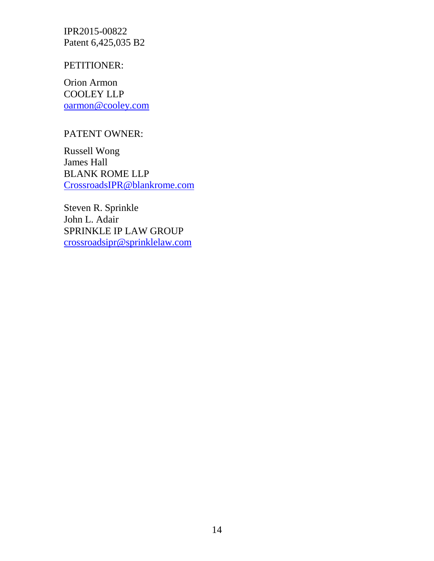#### PETITIONER:

Orion Armon COOLEY LLP [oarmon@cooley.com](mailto:oarmon@cooley.com)

## PATENT OWNER:

Russell Wong James Hall BLANK ROME LLP [CrossroadsIPR@blankrome.com](mailto:CrossroadsIPR@blankrome.com)

Steven R. Sprinkle John L. Adair SPRINKLE IP LAW GROUP [crossroadsipr@sprinklelaw.com](mailto:crossroadsipr@sprinklelaw.com)